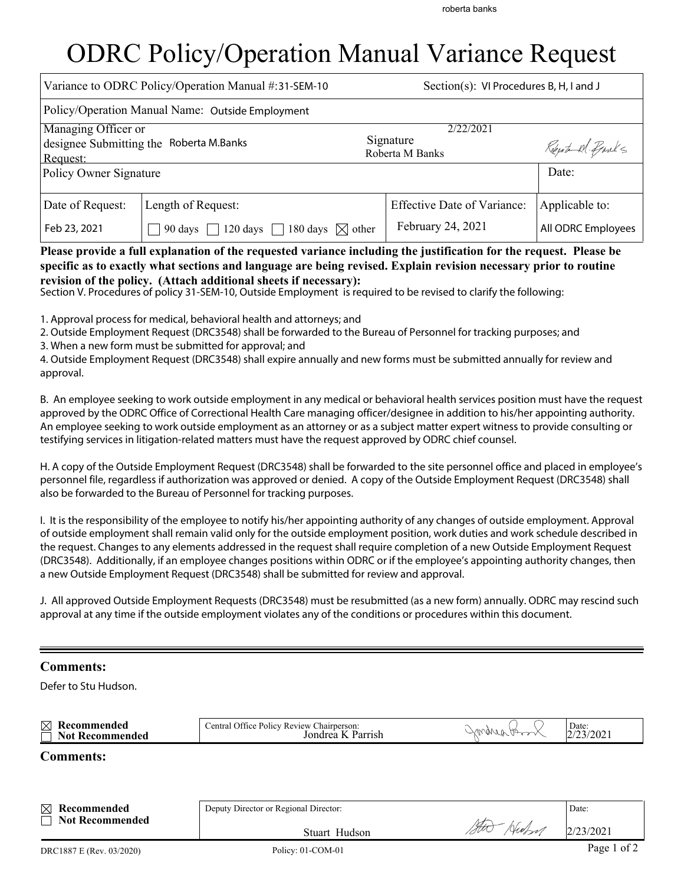## ODRC Policy/Operation Manual Variance Request

|                                                  | Variance to ODRC Policy/Operation Manual #:31-SEM-10   | Section(s): VI Procedures B, H, I and J |                    |  |  |  |  |
|--------------------------------------------------|--------------------------------------------------------|-----------------------------------------|--------------------|--|--|--|--|
| Policy/Operation Manual Name: Outside Employment |                                                        |                                         |                    |  |  |  |  |
| Managing Officer or                              |                                                        | 2/22/2021                               |                    |  |  |  |  |
| designee Submitting the Roberta M.Banks          |                                                        | Signature<br>Roberta M Banks            | Report Al-Banks    |  |  |  |  |
| Request:<br>Policy Owner Signature               |                                                        |                                         | Date:              |  |  |  |  |
|                                                  |                                                        |                                         |                    |  |  |  |  |
| Date of Request:                                 | Length of Request:                                     | <b>Effective Date of Variance:</b>      | Applicable to:     |  |  |  |  |
| Feb 23, 2021                                     | 120 days $\Box$ 180 days<br>$\bowtie$ other<br>90 days | February 24, 2021                       | All ODRC Employees |  |  |  |  |

**Please provide a full explanation of the requested variance including the justification for the request. Please be specific as to exactly what sections and language are being revised. Explain revision necessary prior to routine revision of the policy. (Attach additional sheets if necessary):**

Section V. Procedures of policy 31-SEM-10, Outside Employment is required to be revised to clarify the following:

1. Approval process for medical, behavioral health and attorneys; and

2. Outside Employment Request (DRC3548) shall be forwarded to the Bureau of Personnel for tracking purposes; and

3. When a new form must be submitted for approval; and

4. Outside Employment Request (DRC3548) shall expire annually and new forms must be submitted annually for review and approval.

B. An employee seeking to work outside employment in any medical or behavioral health services position must have the request approved by the ODRC Office of Correctional Health Care managing officer/designee in addition to his/her appointing authority. An employee seeking to work outside employment as an attorney or as a subject matter expert witness to provide consulting or testifying services in litigation-related matters must have the request approved by ODRC chief counsel.

H. A copy of the Outside Employment Request (DRC3548) shall be forwarded to the site personnel office and placed in employee's personnel file, regardless if authorization was approved or denied. A copy of the Outside Employment Request (DRC3548) shall also be forwarded to the Bureau of Personnel for tracking purposes.

I. It is the responsibility of the employee to notify his/her appointing authority of any changes of outside employment. Approval of outside employment shall remain valid only for the outside employment position, work duties and work schedule described in the request. Changes to any elements addressed in the request shall require completion of a new Outside Employment Request (DRC3548). Additionally, if an employee changes positions within ODRC or if the employee's appointing authority changes, then a new Outside Employment Request (DRC3548) shall be submitted for review and approval.

J. All approved Outside Employment Requests (DRC3548) must be resubmitted (as a new form) annually. ODRC may rescind such approval at any time if the outside employment violates any of the conditions or procedures within this document.

## **Comments:**

Defer to Stu Hudson.

| Recommended<br>M<br><b>Not Recommended</b> | Central Office Policy Review Chairperson:<br>Jondrea K Parrish | Date:<br>2/23/2021 |
|--------------------------------------------|----------------------------------------------------------------|--------------------|
| <b>Comments:</b>                           |                                                                |                    |
|                                            |                                                                |                    |
| Recommended<br>$\bowtie$                   | Deputy Director or Regional Director:                          | Date:              |
| <b>Not Recommended</b>                     | Stuart Hudson                                                  | 2/23/2021          |
| DRC1887 E (Rev. 03/2020)                   | Policy: 01-COM-01                                              | Page 1 of 2        |